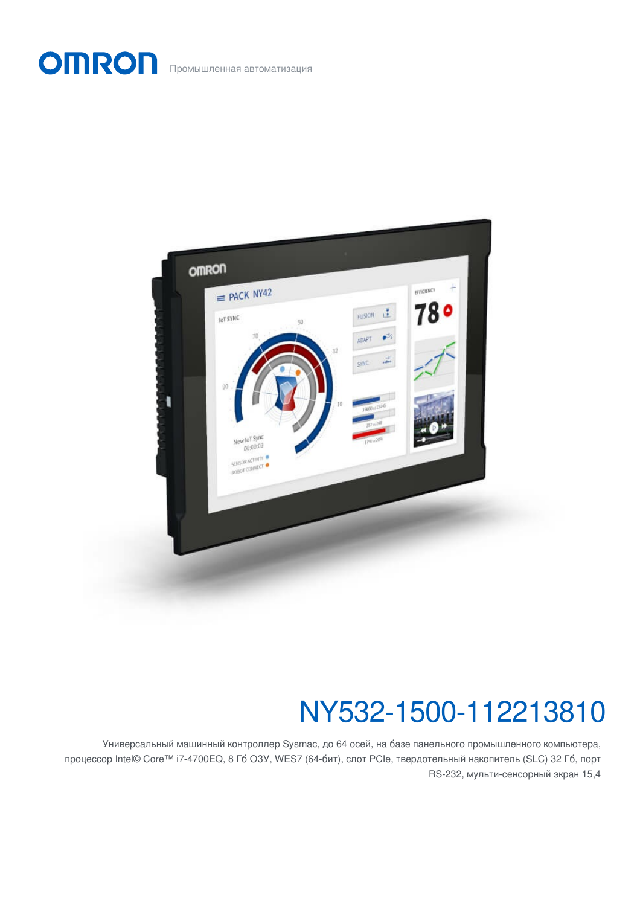OMRON Промышленная автоматизация



# NY532-1500-112213810

Универсальный машинный контроллер Sysmac, до 64 осей, на базе панельного промышленного компьютера, процессор Intel© Core™ i7-4700EQ, 8 Гб ОЗУ, WES7 (64-бит), слот PCIe, твердотельный накопитель (SLC) 32 Гб, порт RS-232, мульти-сенсорный экран 15,4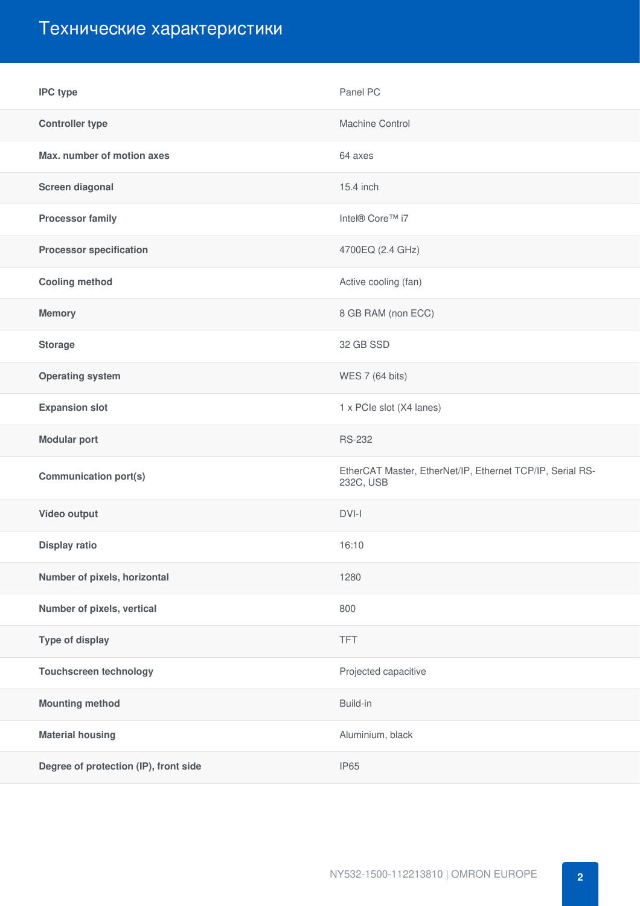### Технические характеристики

| <b>IPC type</b>                       | Panel PC                                                               |
|---------------------------------------|------------------------------------------------------------------------|
| <b>Controller type</b>                | Machine Control                                                        |
| Max. number of motion axes            | 64 axes                                                                |
| Screen diagonal                       | 15.4 inch                                                              |
| <b>Processor family</b>               | Intel® Core™ i7                                                        |
| <b>Processor specification</b>        | 4700EQ (2.4 GHz)                                                       |
| <b>Cooling method</b>                 | Active cooling (fan)                                                   |
| <b>Memory</b>                         | 8 GB RAM (non ECC)                                                     |
| <b>Storage</b>                        | 32 GB SSD                                                              |
| <b>Operating system</b>               | WES 7 (64 bits)                                                        |
| <b>Expansion slot</b>                 | 1 x PCIe slot (X4 lanes)                                               |
| <b>Modular port</b>                   | <b>RS-232</b>                                                          |
| <b>Communication port(s)</b>          | EtherCAT Master, EtherNet/IP, Ethernet TCP/IP, Serial RS-<br>232C, USB |
| Video output                          | DVI-I                                                                  |
| <b>Display ratio</b>                  | 16:10                                                                  |
| Number of pixels, horizontal          | 1280                                                                   |
| Number of pixels, vertical            | 800                                                                    |
| Type of display                       | <b>TFT</b>                                                             |
| <b>Touchscreen technology</b>         | Projected capacitive                                                   |
| <b>Mounting method</b>                | Build-in                                                               |
| <b>Material housing</b>               | Aluminium, black                                                       |
| Degree of protection (IP), front side | <b>IP65</b>                                                            |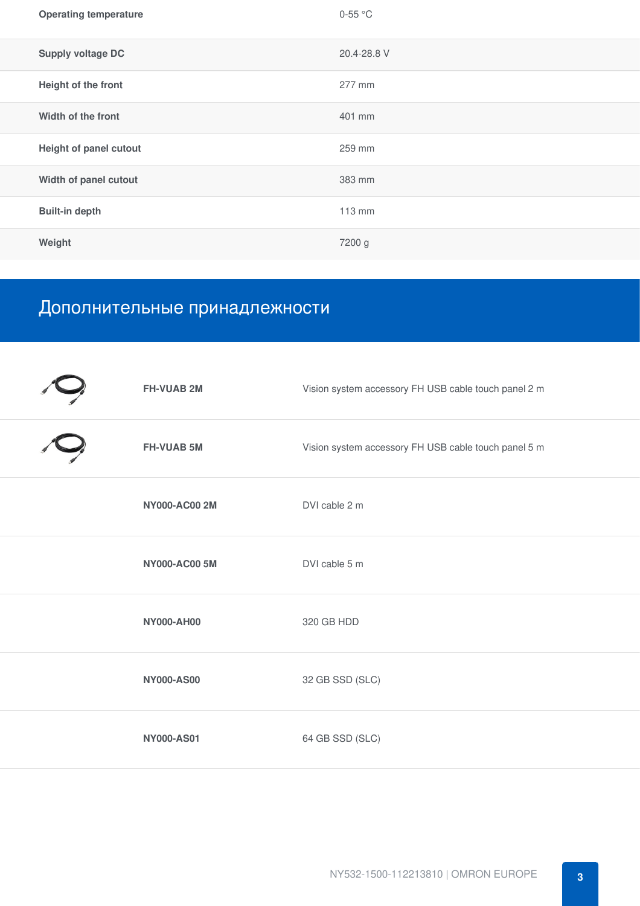| <b>Operating temperature</b> | $0-55$ °C   |
|------------------------------|-------------|
| <b>Supply voltage DC</b>     | 20.4-28.8 V |
| Height of the front          | 277 mm      |
| Width of the front           | 401 mm      |
| Height of panel cutout       | 259 mm      |
| Width of panel cutout        | 383 mm      |
| <b>Built-in depth</b>        | 113 mm      |
| Weight                       | 7200 g      |

## Дополнительные принадлежности

| <b>FH-VUAB 2M</b>    | Vision system accessory FH USB cable touch panel 2 m |
|----------------------|------------------------------------------------------|
| <b>FH-VUAB 5M</b>    | Vision system accessory FH USB cable touch panel 5 m |
| <b>NY000-AC00 2M</b> | DVI cable 2 m                                        |
| <b>NY000-AC00 5M</b> | DVI cable 5 m                                        |
| <b>NY000-AH00</b>    | 320 GB HDD                                           |
| <b>NY000-AS00</b>    | 32 GB SSD (SLC)                                      |
| <b>NY000-AS01</b>    | 64 GB SSD (SLC)                                      |
|                      |                                                      |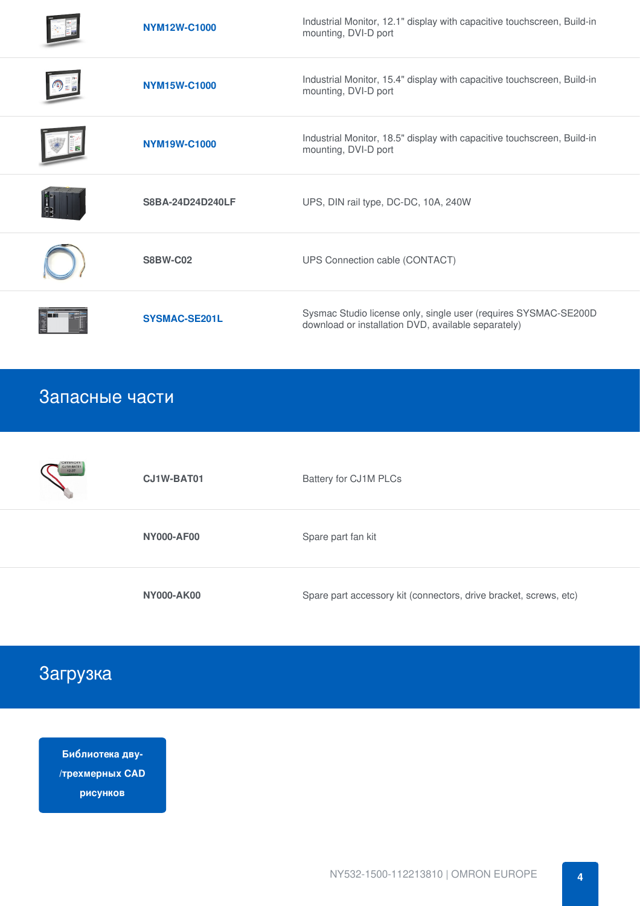| NYM12W-C1000         | Industrial Monitor, 12.1" display with capacitive touchscreen, Build-in<br>mounting, DVI-D port                        |
|----------------------|------------------------------------------------------------------------------------------------------------------------|
| <b>NYM15W-C1000</b>  | Industrial Monitor, 15.4" display with capacitive touchscreen, Build-in<br>mounting, DVI-D port                        |
| <b>NYM19W-C1000</b>  | Industrial Monitor, 18.5" display with capacitive touchscreen, Build-in<br>mounting, DVI-D port                        |
| S8BA-24D24D240LF     | UPS, DIN rail type, DC-DC, 10A, 240W                                                                                   |
| <b>S8BW-C02</b>      | UPS Connection cable (CONTACT)                                                                                         |
| <b>SYSMAC-SE201L</b> | Sysmac Studio license only, single user (requires SYSMAC-SE200D<br>download or installation DVD, available separately) |

#### Запасные части

| <b>OMRON</b><br>CJ1W-BAT01<br>12-07 | CJ1W-BAT01        | Battery for CJ1M PLCs                                             |
|-------------------------------------|-------------------|-------------------------------------------------------------------|
|                                     | <b>NY000-AF00</b> | Spare part fan kit                                                |
|                                     | <b>NY000-AK00</b> | Spare part accessory kit (connectors, drive bracket, screws, etc) |

### Загрузка

**Библиотека дву- [/трехмерных](https://download.ia.omron.com/download/page/NY532_1%5B%5D00_112213%5B%5D1%5B%5D/OEE) CAD рисунков**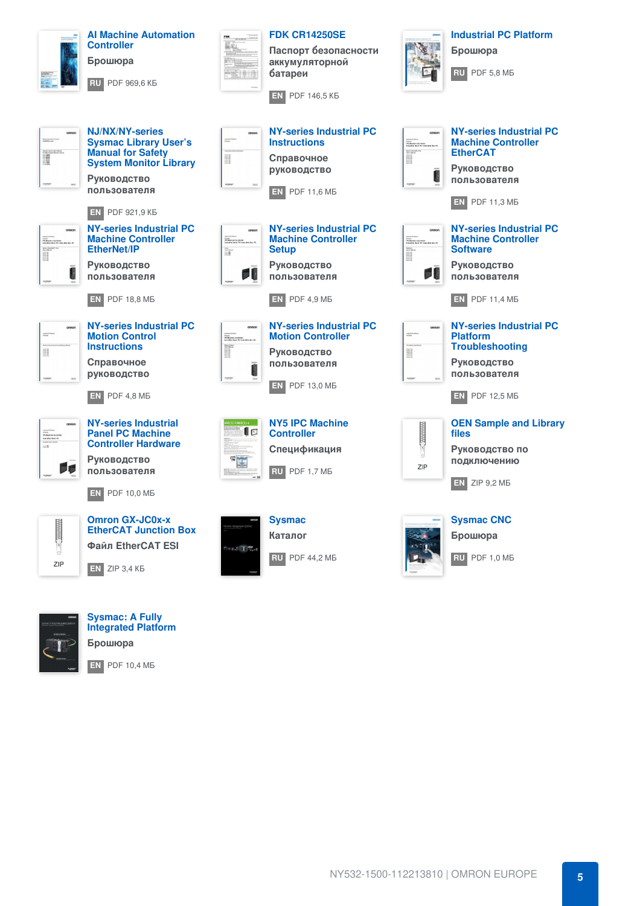



**Sysmac: A Fully [Integrated](https://industrial.omron.ru/ru/downloads/document.441032-std.lang.all) Platform Брошюра**

**[EN](https://assets.omron.eu/downloads/brochure/en/v10/p079_sysmac_a_fully_integrated_platform_brochure_en.pdf)** PDF 10,4 МБ